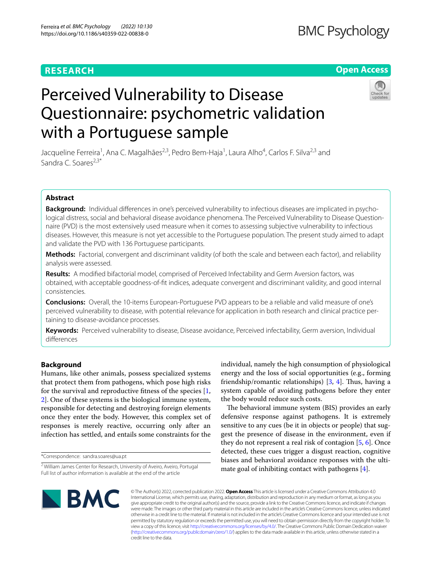# **RESEARCH**

# **Open Access**

# Perceived Vulnerability to Disease Questionnaire: psychometric validation with a Portuguese sample

Jacqueline Ferreira<sup>1</sup>, Ana C. Magalhães<sup>2,3</sup>, Pedro Bem-Haja<sup>1</sup>, Laura Alho<sup>4</sup>, Carlos F. Silva<sup>2,3</sup> and Sandra C. Soares<sup>2,3\*</sup>

# **Abstract**

Background: Individual differences in one's perceived vulnerability to infectious diseases are implicated in psychological distress, social and behavioral disease avoidance phenomena. The Perceived Vulnerability to Disease Questionnaire (PVD) is the most extensively used measure when it comes to assessing subjective vulnerability to infectious diseases. However, this measure is not yet accessible to the Portuguese population. The present study aimed to adapt and validate the PVD with 136 Portuguese participants.

**Methods:** Factorial, convergent and discriminant validity (of both the scale and between each factor), and reliability analysis were assessed.

**Results:** A modifed bifactorial model, comprised of Perceived Infectability and Germ Aversion factors, was obtained, with acceptable goodness-of-ft indices, adequate convergent and discriminant validity, and good internal consistencies.

**Conclusions:** Overall, the 10-items European-Portuguese PVD appears to be a reliable and valid measure of one's perceived vulnerability to disease, with potential relevance for application in both research and clinical practice pertaining to disease-avoidance processes.

**Keywords:** Perceived vulnerability to disease, Disease avoidance, Perceived infectability, Germ aversion, Individual diferences

# **Background**

Humans, like other animals, possess specialized systems that protect them from pathogens, which pose high risks for the survival and reproductive ftness of the species [\[1](#page-8-0), [2\]](#page-8-1). One of these systems is the biological immune system, responsible for detecting and destroying foreign elements once they enter the body. However, this complex set of responses is merely reactive, occurring only after an infection has settled, and entails some constraints for the

\*Correspondence: sandra.soares@ua.pt

individual, namely the high consumption of physiological energy and the loss of social opportunities (e.g., forming friendship/romantic relationships)  $[3, 4]$  $[3, 4]$  $[3, 4]$ . Thus, having a system capable of avoiding pathogens before they enter the body would reduce such costs.

The behavioral immune system (BIS) provides an early defensive response against pathogens. It is extremely sensitive to any cues (be it in objects or people) that suggest the presence of disease in the environment, even if they do not represent a real risk of contagion [\[5](#page-9-2), [6\]](#page-9-3). Once detected, these cues trigger a disgust reaction, cognitive biases and behavioral avoidance responses with the ultimate goal of inhibiting contact with pathogens [[4\]](#page-9-1).



© The Author(s) 2022, corrected publication 2022. **Open Access** This article is licensed under a Creative Commons Attribution 4.0 International License, which permits use, sharing, adaptation, distribution and reproduction in any medium or format, as long as you give appropriate credit to the original author(s) and the source, provide a link to the Creative Commons licence, and indicate if changes were made. The images or other third party material in this article are included in the article's Creative Commons licence, unless indicated otherwise in a credit line to the material. If material is not included in the article's Creative Commons licence and your intended use is not permitted by statutory regulation or exceeds the permitted use, you will need to obtain permission directly from the copyright holder. To view a copy of this licence, visit [http://creativecommons.org/licenses/by/4.0/.](http://creativecommons.org/licenses/by/4.0/) The Creative Commons Public Domain Dedication waiver [\(http://creativecommons.org/publicdomain/zero/1.0/\)](http://creativecommons.org/publicdomain/zero/1.0/) applies to the data made available in this article, unless otherwise stated in a credit line to the data.

<sup>&</sup>lt;sup>2</sup> William James Center for Research, University of Aveiro, Aveiro, Portugal Full list of author information is available at the end of the article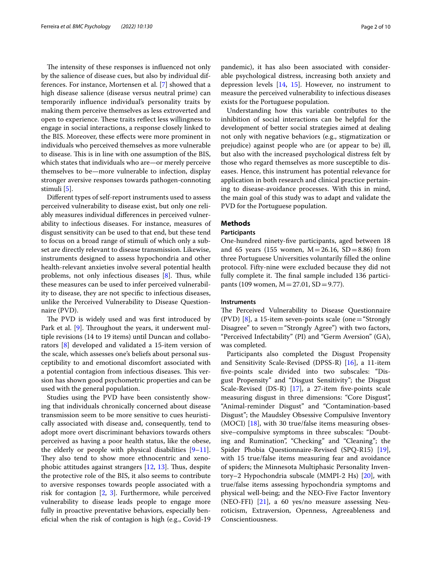The intensity of these responses is influenced not only by the salience of disease cues, but also by individual differences. For instance, Mortensen et al. [\[7\]](#page-9-4) showed that a high disease salience (disease versus neutral prime) can temporarily infuence individual's personality traits by making them perceive themselves as less extroverted and open to experience. These traits reflect less willingness to engage in social interactions, a response closely linked to the BIS. Moreover, these efects were more prominent in individuals who perceived themselves as more vulnerable to disease. This is in line with one assumption of the BIS, which states that individuals who are—or merely perceive themselves to be—more vulnerable to infection, display stronger aversive responses towards pathogen-connoting stimuli [[5](#page-9-2)].

Diferent types of self-report instruments used to assess perceived vulnerability to disease exist, but only one reliably measures individual diferences in perceived vulnerability to infectious diseases. For instance, measures of disgust sensitivity can be used to that end, but these tend to focus on a broad range of stimuli of which only a subset are directly relevant to disease transmission. Likewise, instruments designed to assess hypochondria and other health-relevant anxieties involve several potential health problems, not only infectious diseases  $[8]$  $[8]$ . Thus, while these measures can be used to infer perceived vulnerability to disease, they are not specifc to infectious diseases, unlike the Perceived Vulnerability to Disease Questionnaire (PVD).

The PVD is widely used and was first introduced by Park et al. [\[9](#page-9-6)]. Throughout the years, it underwent multiple revisions (14 to 19 items) until Duncan and collaborators [[8\]](#page-9-5) developed and validated a 15-item version of the scale, which assesses one's beliefs about personal susceptibility to and emotional discomfort associated with a potential contagion from infectious diseases. This version has shown good psychometric properties and can be used with the general population.

Studies using the PVD have been consistently showing that individuals chronically concerned about disease transmission seem to be more sensitive to cues heuristically associated with disease and, consequently, tend to adopt more overt discriminant behaviors towards others perceived as having a poor health status, like the obese, the elderly or people with physical disabilities  $[9-11]$  $[9-11]$ . They also tend to show more ethnocentric and xenophobic attitudes against strangers  $[12, 13]$  $[12, 13]$  $[12, 13]$  $[12, 13]$ . Thus, despite the protective role of the BIS, it also seems to contribute to aversive responses towards people associated with a risk for contagion [\[2](#page-8-1), [3](#page-9-0)]. Furthermore, while perceived vulnerability to disease leads people to engage more fully in proactive preventative behaviors, especially benefcial when the risk of contagion is high (e.g., Covid-19 pandemic), it has also been associated with considerable psychological distress, increasing both anxiety and depression levels [\[14](#page-9-10), [15\]](#page-9-11). However, no instrument to measure the perceived vulnerability to infectious diseases exists for the Portuguese population.

Understanding how this variable contributes to the inhibition of social interactions can be helpful for the development of better social strategies aimed at dealing not only with negative behaviors (e.g., stigmatization or prejudice) against people who are (or appear to be) ill, but also with the increased psychological distress felt by those who regard themselves as more susceptible to diseases. Hence, this instrument has potential relevance for application in both research and clinical practice pertaining to disease-avoidance processes. With this in mind, the main goal of this study was to adapt and validate the PVD for the Portuguese population.

# **Methods**

# **Participants**

One-hundred ninety-fve participants, aged between 18 and 65 years (155 women,  $M = 26.16$ , SD = 8.86) from three Portuguese Universities voluntarily flled the online protocol. Fifty-nine were excluded because they did not fully complete it. The final sample included 136 participants (109 women,  $M = 27.01$ , SD = 9.77).

# **Instruments**

The Perceived Vulnerability to Disease Questionnaire (PVD) [\[8](#page-9-5)], a 15-item seven-points scale (one="Strongly Disagree" to seven="Strongly Agree") with two factors, "Perceived Infectability" (PI) and "Germ Aversion" (GA), was completed.

Participants also completed the Disgust Propensity and Sensitivity Scale-Revised (DPSS-R) [\[16](#page-9-12)], a 11-item fve-points scale divided into two subscales: "Disgust Propensity" and "Disgust Sensitivity"; the Disgust Scale-Revised (DS-R) [\[17\]](#page-9-13), a 27-item five-points scale measuring disgust in three dimensions: "Core Disgust", "Animal-reminder Disgust" and "Contamination-based Disgust"; the Maudsley Obsessive Compulsive Inventory (MOCI)  $[18]$  $[18]$ , with 30 true/false items measuring obsessive–compulsive symptoms in three subscales: "Doubting and Rumination", "Checking" and "Cleaning"; the Spider Phobia Questionnaire-Revised (SPQ-R15) [\[19](#page-9-15)], with 15 true/false items measuring fear and avoidance of spiders; the Minnesota Multiphasic Personality Inventory–2 Hypochondria subscale (MMPI-2 Hs) [\[20](#page-9-16)], with true/false items assessing hypochondria symptoms and physical well-being; and the NEO-Five Factor Inventory (NEO-FFI) [[21\]](#page-9-17), a 60 yes/no measure assessing Neuroticism, Extraversion, Openness, Agreeableness and Conscientiousness.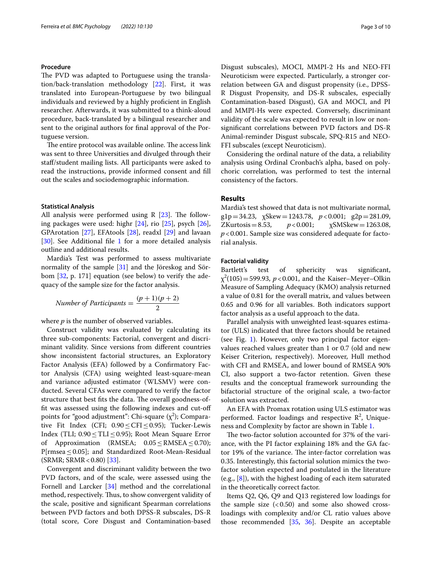# **Procedure**

The PVD was adapted to Portuguese using the translation/back-translation methodology [[22\]](#page-9-18). First, it was translated into European-Portuguese by two bilingual individuals and reviewed by a highly profcient in English researcher. Afterwards, it was submitted to a think-aloud procedure, back-translated by a bilingual researcher and sent to the original authors for fnal approval of the Portuguese version.

The entire protocol was available online. The access link was sent to three Universities and divulged through their staf/student mailing lists. All participants were asked to read the instructions, provide informed consent and fll out the scales and sociodemographic information.

# **Statistical Analysis**

All analysis were performed using R  $[23]$  $[23]$ . The following packages were used: highr [\[24](#page-9-20)], rio [\[25](#page-9-21)], psych [\[26](#page-9-22)], GPArotation [[27](#page-9-23)], EFAtools [\[28](#page-9-24)], readxl [\[29](#page-9-25)] and lavaan [[30\]](#page-9-26). See Additional file [1](#page-8-2) for a more detailed analysis outline and additional results.

Mardia's Test was performed to assess multivariate normality of the sample [[31\]](#page-9-27) and the Jöreskog and Sörbom [[32,](#page-9-28) p. 171] equation (see below) to verify the adequacy of the sample size for the factor analysis.

Number of Participants = 
$$
\frac{(p+1)(p+2)}{2}
$$

where *p* is the number of observed variables.

Construct validity was evaluated by calculating its three sub-components: Factorial, convergent and discriminant validity. Since versions from diferent countries show inconsistent factorial structures, an Exploratory Factor Analysis (EFA) followed by a Confrmatory Factor Analysis (CFA) using weighted least-square-mean and variance adjusted estimator (WLSMV) were conducted. Several CFAs were compared to verify the factor structure that best fits the data. The overall goodness-offt was assessed using the following indexes and cut-of points for "good adjustment": Chi-square ( $\chi^2$ ); Comparative Fit Index (CFI; 0.90≤CFI≤0.95); Tucker-Lewis Index (TLI;  $0.90 \leq$ TLI ≤0.95); Root Mean Square Error of Approximation (RMSEA;  $0.05 \leq$ RMSEA  $\leq$ 0.70);  $P[rmsea \leq 0.05]$ ; and Standardized Root-Mean-Residual  $(SRMR; SRMR < 0.80)$  [[33\]](#page-9-29).

Convergent and discriminant validity between the two PVD factors, and of the scale, were assessed using the Fornell and Larcker [\[34](#page-9-30)] method and the correlational method, respectively. Thus, to show convergent validity of the scale, positive and signifcant Spearman correlations between PVD factors and both DPSS-R subscales, DS-R (total score, Core Disgust and Contamination-based Disgust subscales), MOCI, MMPI-2 Hs and NEO-FFI Neuroticism were expected. Particularly, a stronger correlation between GA and disgust propensity (i.e., DPSS-R Disgust Propensity, and DS-R subscales, especially Contamination-based Disgust), GA and MOCI, and PI and MMPI-Hs were expected. Conversely, discriminant validity of the scale was expected to result in low or nonsignifcant correlations between PVD factors and DS-R Animal-reminder Disgust subscale, SPQ-R15 and NEO-FFI subscales (except Neuroticism).

Considering the ordinal nature of the data, a reliability analysis using Ordinal Cronbach's alpha, based on polychoric correlation, was performed to test the internal consistency of the factors.

# **Results**

Mardia's test showed that data is not multivariate normal, g1p=34.23,  $\chi$ Skew=1243.78,  $p < 0.001$ ; g2p=281.09,<br>ZKurtosis=8.53,  $p < 0.001$ ;  $\chi$ SMSkew=1263.08,  $\chi$ SMSkew=1263.08, *p*<0.001. Sample size was considered adequate for factorial analysis.

# **Factorial validity**

Bartlett's test of sphericity was signifcant,  $\chi^2(105) = 599.93$ ,  $p < 0.001$ , and the Kaiser–Meyer–Olkin Measure of Sampling Adequacy (KMO) analysis returned a value of 0.81 for the overall matrix, and values between 0.65 and 0.96 for all variables. Both indicators support factor analysis as a useful approach to the data.

Parallel analysis with unweighted least-squares estimator (ULS) indicated that three factors should be retained (see Fig. [1](#page-3-0)). However, only two principal factor eigenvalues reached values greater than 1 or 0.7 (old and new Keiser Criterion, respectively). Moreover, Hull method with CFI and RMSEA, and lower bound of RMSEA 90% CI, also support a two-factor retention. Given these results and the conceptual framework surrounding the bifactorial structure of the original scale, a two-factor solution was extracted.

An EFA with Promax rotation using ULS estimator was performed. Factor loadings and respective  $\mathbb{R}^2$ , Uniqueness and Complexity by factor are shown in Table [1.](#page-3-1)

The two-factor solution accounted for 37% of the variance, with the PI factor explaining 18% and the GA factor 19% of the variance. The inter-factor correlation was 0.35. Interestingly, this factorial solution mimics the twofactor solution expected and postulated in the literature (e.g., [[8\]](#page-9-5)), with the highest loading of each item saturated in the theoretically correct factor.

Items Q2, Q6, Q9 and Q13 registered low loadings for the sample size  $( $0.50$ )$  and some also showed crossloadings with complexity and/or CL ratio values above those recommended [\[35,](#page-9-31) [36](#page-9-32)]. Despite an acceptable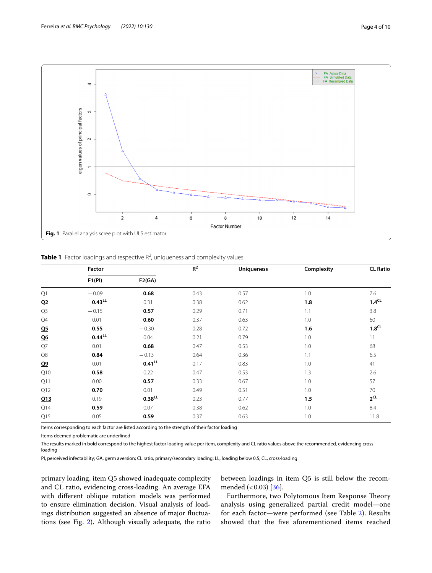

<span id="page-3-1"></span><span id="page-3-0"></span>Table 1 Factor loadings and respective R<sup>2</sup>, uniqueness and complexity values

|                | Factor      |                      | $R^2$ | <b>Uniqueness</b> | Complexity | <b>CL Ratio</b>   |  |
|----------------|-------------|----------------------|-------|-------------------|------------|-------------------|--|
|                | F1(PI)      | F2(GA)               |       |                   |            |                   |  |
| Q1             | $-0.09$     | 0.68                 | 0.43  | 0.57              | 1.0        | 7.6               |  |
| Q2             | $0.43^{LL}$ | 0.31                 | 0.38  | 0.62              | 1.8        | 1.4 <sup>CL</sup> |  |
| Q3             | $-0.15$     | 0.57                 | 0.29  | 0.71              | 1.1        | 3.8               |  |
| ${\mathbb Q}4$ | 0.01        | 0.60                 | 0.37  | 0.63              | 1.0        | 60                |  |
| Q <sub>5</sub> | 0.55        | $-0.30$              | 0.28  | 0.72              | 1.6        | 1.8 <sup>CL</sup> |  |
| <u>Q6</u>      | $0.44^{LL}$ | 0.04                 | 0.21  | 0.79              | 1.0        | 11                |  |
| Q7             | 0.01        | 0.68                 | 0.47  | 0.53              | 1.0        | 68                |  |
| Q8             | 0.84        | $-0.13$              | 0.64  | 0.36              | 1.1        | 6.5               |  |
| Q <sub>2</sub> | 0.01        | $0.41^{LL}$          | 0.17  | 0.83              | 1.0        | 41                |  |
| Q10            | 0.58        | 0.22                 | 0.47  | 0.53              | 1.3        | 2.6               |  |
| Q11            | 0.00        | 0.57                 | 0.33  | 0.67              | 1.0        | 57                |  |
| Q12            | 0.70        | 0.01                 | 0.49  | 0.51              | 1.0        | 70                |  |
| Q13            | 0.19        | $0.38$ <sup>LL</sup> | 0.23  | 0.77              | 1.5        | $2^{\text{CL}}$   |  |
| Q14            | 0.59        | 0.07                 | 0.38  | 0.62              | 1.0        | 8.4               |  |
| Q15            | 0.05        | 0.59                 | 0.37  | 0.63              | 1.0        | 11.8              |  |

Items corresponding to each factor are listed according to the strength of their factor loading

Items deemed problematic are underlined

The results marked in bold correspond to the highest factor loading value per item, complexity and CL ratio values above the recommended, evidencing crossloading

PI, perceived infectability; GA, germ aversion; CL ratio, primary/secondary loading; LL, loading below 0.5; CL, cross-loading

primary loading, item Q5 showed inadequate complexity and CL ratio, evidencing cross-loading. An average EFA with diferent oblique rotation models was performed to ensure elimination decision. Visual analysis of loadings distribution suggested an absence of major fuctuations (see Fig. [2\)](#page-4-0). Although visually adequate, the ratio between loadings in item Q5 is still below the recommended  $( $0.03$ ) [36]$  $( $0.03$ ) [36]$ 

Furthermore, two Polytomous Item Response Theory analysis using generalized partial credit model—one for each factor—were performed (see Table [2](#page-4-1)). Results showed that the fve aforementioned items reached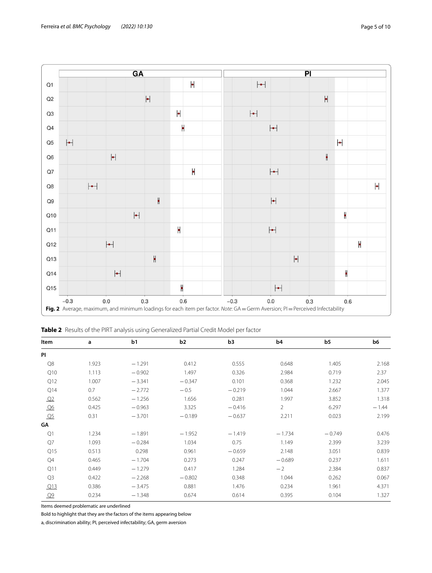

<span id="page-4-1"></span><span id="page-4-0"></span>

| Table 2 Results of the PIRT analysis using Generalized Partial Credit Model per factor |  |  |  |
|----------------------------------------------------------------------------------------|--|--|--|
|----------------------------------------------------------------------------------------|--|--|--|

| Item           | a     | b1       | b2       | b <sub>3</sub> | b <sub>4</sub> | b <sub>5</sub> | b6      |  |
|----------------|-------|----------|----------|----------------|----------------|----------------|---------|--|
| PI             |       |          |          |                |                |                |         |  |
| Q8             | 1.923 | $-1.291$ | 0.412    | 0.555          | 0.648          | 1.405          | 2.168   |  |
| Q10            | 1.113 | $-0.902$ | 1.497    | 0.326          | 2.984          | 0.719          | 2.37    |  |
| Q12            | 1.007 | $-3.341$ | $-0.347$ | 0.101          | 0.368          | 1.232          | 2.045   |  |
| Q14            | 0.7   | $-2.772$ | $-0.5$   | $-0.219$       | 1.044          | 2.667          | 1.377   |  |
| Q <sub>2</sub> | 0.562 | $-1.256$ | 1.656    | 0.281          | 1.997          | 3.852          | 1.318   |  |
| Q6             | 0.425 | $-0.963$ | 3.325    | $-0.416$       | $\overline{2}$ | 6.297          | $-1.44$ |  |
| Q <sub>5</sub> | 0.31  | $-3.701$ | $-0.189$ | $-0.637$       | 2.211          | 0.023          | 2.199   |  |
| GΑ             |       |          |          |                |                |                |         |  |
| Q1             | 1.234 | $-1.891$ | $-1.952$ | $-1.419$       | $-1.734$       | $-0.749$       | 0.476   |  |
| $Q$ 7          | 1.093 | $-0.284$ | 1.034    | 0.75           | 1.149          | 2.399          | 3.239   |  |
| Q15            | 0.513 | 0.298    | 0.961    | $-0.659$       | 2.148          | 3.051          | 0.839   |  |
| Q4             | 0.465 | $-1.704$ | 0.273    | 0.247          | $-0.689$       | 0.237          | 1.611   |  |
| Q11            | 0.449 | $-1.279$ | 0.417    | 1.284          | $-2$           | 2.384          | 0.837   |  |
| Q <sub>3</sub> | 0.422 | $-2.268$ | $-0.802$ | 0.348          | 1.044          | 0.262          | 0.067   |  |
| Q13            | 0.386 | $-3.475$ | 0.881    | 1.476          | 0.234          | 1.961          | 4.371   |  |
| Q <sub>9</sub> | 0.234 | $-1.348$ | 0.674    | 0.614          | 0.395          | 0.104          | 1.327   |  |

Items deemed problematic are underlined

Bold to highlight that they are the factors of the items appearing below

a, discrimination ability; PI, perceived infectability; GA, germ aversion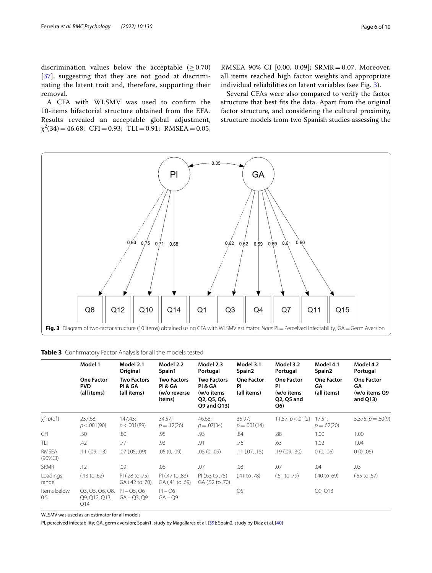discrimination values below the acceptable ( $\geq$  0.70) [[37](#page-9-33)], suggesting that they are not good at discriminating the latent trait and, therefore, supporting their removal.

A CFA with WLSMV was used to confrm the 10-items bifactorial structure obtained from the EFA. Results revealed an acceptable global adjustment,  $\chi^2(34) = 46.68; \text{ CFI} = 0.93; \text{ TLI} = 0.91; \text{ RMSEA} = 0.05,$  RMSEA 90% CI [0.00, 0.09]; SRMR=0.07. Moreover, all items reached high factor weights and appropriate individual reliabilities on latent variables (see Fig. [3](#page-5-0)).

Several CFAs were also compared to verify the factor structure that best fts the data. Apart from the original factor structure, and considering the cultural proximity, structure models from two Spanish studies assessing the



<span id="page-5-1"></span><span id="page-5-0"></span>

|                     | Model 1                                        | Model 2.1<br>Original                        | Model 2.2<br>Spain1                                     | Model 2.3<br>Portugal                                                     | Model 3.1<br>Spain <sub>2</sub>        | Model 3.2<br>Portugal                                      | Model 4.1<br>Spain <sub>2</sub>        | Model 4.2<br>Portugal                                   |  |
|---------------------|------------------------------------------------|----------------------------------------------|---------------------------------------------------------|---------------------------------------------------------------------------|----------------------------------------|------------------------------------------------------------|----------------------------------------|---------------------------------------------------------|--|
|                     | <b>One Factor</b><br><b>PVD</b><br>(all items) | <b>Two Factors</b><br>PI & GA<br>(all items) | <b>Two Factors</b><br>PI & GA<br>(w/o reverse<br>items) | <b>Two Factors</b><br>PI & GA<br>(w/o items<br>Q2, Q5, Q6,<br>Q9 and Q13) | <b>One Factor</b><br>PI<br>(all items) | <b>One Factor</b><br>ΡI<br>(w/o items<br>Q2, Q5 and<br>Q6) | <b>One Factor</b><br>GA<br>(all items) | <b>One Factor</b><br>GΑ<br>(w/o items Q9<br>and $Q13$ ) |  |
| $x^2$ ; $p(df)$     | 237.68;<br>p < .001(90)                        | 147.43;<br>p < .001(89)                      | 34.57;<br>$p=.12(26)$                                   | 46.68;<br>$p = .07(34)$                                                   | 35.97:<br>$p = .001(14)$               | 11.57; p < .01(2)                                          | 17.51;<br>$p=.62(20)$                  | $5.375$ ; $p = .80(9)$                                  |  |
| <b>CFI</b>          | .50                                            | .80                                          | .95                                                     | .93                                                                       | .84                                    | .88                                                        | 1.00                                   | 1.00                                                    |  |
| TLI                 | .42                                            | .77                                          | .93                                                     | .91                                                                       | .76                                    | .63                                                        | 1.02                                   | 1.04                                                    |  |
| RMSEA<br>$(90\%CI)$ | .11(.09,.13)                                   | $.07$ $(.05, .09)$                           | .05(0, .09)                                             | .05(0, .09)                                                               | .11(.07,.15)                           | .19(.09,.30)                                               | 0(0, .06)                              | 0(0, .06)                                               |  |
| <b>SRMR</b>         | .12                                            | .09                                          | .06                                                     | .07                                                                       | .08                                    | .07                                                        | .04                                    | .03                                                     |  |
| Loadings<br>range   | $(.13 \text{ to } .62)$                        | PI (.28 to .75)<br>GA (.42 to .70)           | PI (.47 to .83)<br>GA (.41 to .69)                      | PI (.63 to .75)<br>GA (.52 to .70)                                        | $(.41 \text{ to } .78)$                | $(.61 \text{ to } .79)$                                    | $(.40 \text{ to } .69)$                | $(.55 \text{ to } .67)$                                 |  |
| Items below<br>0.5  | Q3, Q5, Q6, Q8,<br>Q9, Q12, Q13,<br>Q14        | $PI - Q5, Q6$<br>$GA - Q3, Q9$               | $PI - Q6$<br>$GA - Q9$                                  |                                                                           | Q <sub>5</sub>                         |                                                            | Q9, Q13                                |                                                         |  |

WLSMV was used as an estimator for all models

PI, perceived infectability; GA, germ aversion; Spain1, study by Magallares et al. [[39\]](#page-9-34); Spain2, study by Díaz et al. [\[40](#page-9-35)]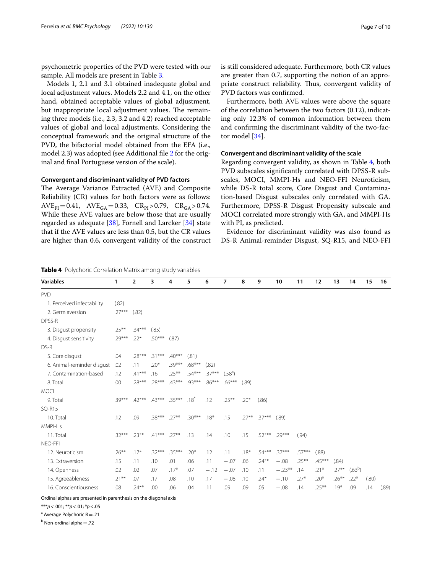psychometric properties of the PVD were tested with our sample. All models are present in Table [3.](#page-5-1)

Models 1, 2.1 and 3.1 obtained inadequate global and local adjustment values. Models 2.2 and 4.1, on the other hand, obtained acceptable values of global adjustment, but inappropriate local adjustment values. The remaining three models (i.e., 2.3, 3.2 and 4.2) reached acceptable values of global and local adjustments. Considering the conceptual framework and the original structure of the PVD, the bifactorial model obtained from the EFA (i.e., model 2.3) was adopted (see Additional fle [2](#page-8-3) for the original and fnal Portuguese version of the scale).

# **Convergent and discriminant validity of PVD factors**

The Average Variance Extracted (AVE) and Composite Reliability (CR) values for both factors were as follows:  $AVE_{PI}=0.41$ ,  $AVE_{GA}=0.33$ ,  $CR_{PI}>0.79$ ,  $CR_{GA}>0.74$ . While these AVE values are below those that are usually regarded as adequate [\[38\]](#page-9-36), Fornell and Larcker [\[34](#page-9-30)] state that if the AVE values are less than 0.5, but the CR values are higher than 0.6, convergent validity of the construct

<span id="page-6-0"></span>**Table 4** Polychoric Correlation Matrix among study variables

is still considered adequate. Furthermore, both CR values are greater than 0.7, supporting the notion of an appropriate construct reliability. Thus, convergent validity of PVD factors was confrmed.

Furthermore, both AVE values were above the square of the correlation between the two factors (0.12), indicating only 12.3% of common information between them and confrming the discriminant validity of the two-factor model [\[34](#page-9-30)].

# **Convergent and discriminant validity of the scale**

Regarding convergent validity, as shown in Table [4](#page-6-0), both PVD subscales signifcantly correlated with DPSS-R subscales, MOCI, MMPI-Hs and NEO-FFI Neuroticism, while DS-R total score, Core Disgust and Contamination-based Disgust subscales only correlated with GA. Furthermore, DPSS-R Disgust Propensity subscale and MOCI correlated more strongly with GA, and MMPI-Hs with PI, as predicted.

Evidence for discriminant validity was also found as DS-R Animal-reminder Disgust, SQ-R15, and NEO-FFI

| <b>Variables</b>                                                 | 1        | $\overline{2}$ | 3        | 4        | 5        | 6        | 7                   | 8      | 9               | 10       | 11       | 12       | 13       | 14                  | 15    | 16    |
|------------------------------------------------------------------|----------|----------------|----------|----------|----------|----------|---------------------|--------|-----------------|----------|----------|----------|----------|---------------------|-------|-------|
| <b>PVD</b>                                                       |          |                |          |          |          |          |                     |        |                 |          |          |          |          |                     |       |       |
| 1. Perceived infectability                                       | (.82)    |                |          |          |          |          |                     |        |                 |          |          |          |          |                     |       |       |
| 2. Germ aversion                                                 | $.27***$ | (.82)          |          |          |          |          |                     |        |                 |          |          |          |          |                     |       |       |
| DPSS-R                                                           |          |                |          |          |          |          |                     |        |                 |          |          |          |          |                     |       |       |
| 3. Disgust propensity                                            | $.25***$ | $.34***$       | (.85)    |          |          |          |                     |        |                 |          |          |          |          |                     |       |       |
| 4. Disgust sensitivity                                           | $.29***$ | $.22*$         | $.50***$ | (.87)    |          |          |                     |        |                 |          |          |          |          |                     |       |       |
| DS-R                                                             |          |                |          |          |          |          |                     |        |                 |          |          |          |          |                     |       |       |
| 5. Core disgust                                                  | .04      | $.28***$       | $.31***$ | $.40***$ | (.81)    |          |                     |        |                 |          |          |          |          |                     |       |       |
| 6. Animal-reminder disgust                                       | .02      | .11            | $.20*$   | $.39***$ | $.68***$ | (.82)    |                     |        |                 |          |          |          |          |                     |       |       |
| 7. Contamination-based                                           | .12      | $.41***$       | .16      | $.25***$ | $.54***$ | $.37***$ | (.58 <sup>a</sup> ) |        |                 |          |          |          |          |                     |       |       |
| 8. Total                                                         | .00      | $.28***$       | $.28***$ | $43***$  | $93***$  | $.86***$ | $.66***$            | (.89)  |                 |          |          |          |          |                     |       |       |
| <b>MOCI</b>                                                      |          |                |          |          |          |          |                     |        |                 |          |          |          |          |                     |       |       |
| 9. Total                                                         | $.39***$ | $.42***$       | $43***$  | $35***$  | $.18^*$  | .12      | $.25***$            | $.20*$ | (.86)           |          |          |          |          |                     |       |       |
| <b>SQ-R15</b>                                                    |          |                |          |          |          |          |                     |        |                 |          |          |          |          |                     |       |       |
| 10. Total                                                        | .12      | .09            | $.38***$ | $.27***$ | $.30***$ | $.18*$   | .15                 |        | $.27***$ .37*** | (.89)    |          |          |          |                     |       |       |
| MMPI-Hs                                                          |          |                |          |          |          |          |                     |        |                 |          |          |          |          |                     |       |       |
| 11. Total                                                        | $.32***$ | $.23***$       | $.41***$ | $.27***$ | .13      | .14      | .10                 | .15    | $.52***$        | $.29***$ | (.94)    |          |          |                     |       |       |
| NEO-FFI                                                          |          |                |          |          |          |          |                     |        |                 |          |          |          |          |                     |       |       |
| 12. Neuroticism                                                  | $.26***$ | $.17*$         | $.32***$ | 35***    | $20*$    | .12      | .11                 | $.18*$ | $.54***$        | $.37***$ | $.57***$ | (.88)    |          |                     |       |       |
| 13. Extraversion                                                 | .15      | .11            | .10      | .01      | .06      | .11      | $-.07$              | .06    | $.24***$        | $-.08$   | $.25***$ | $.45***$ | (.84)    |                     |       |       |
| 14. Openness                                                     | .02      | .02            | .07      | $.17*$   | .07      | $-.12$   | $-.07$              | .10    | .11             | $-.23**$ | .14      | $.21*$   | $.27***$ | (.63 <sup>b</sup> ) |       |       |
| 15. Agreeableness                                                | $.21***$ | .07            | .17      | .08      | .10      | .17      | $-.08$              | .10    | $.24*$          | $-.10$   | $.27*$   | $.20*$   | $.26***$ | $.22*$              | (.80) |       |
| 16. Conscientiousness                                            | .08      | $.24***$       | .00      | .06      | .04      | .11      | .09                 | .09    | .05             | $-.08$   | .14      | $.25***$ | $.19*$   | .09                 | .14   | (.89) |
| Ordinal alphas are presented in parenthesis on the diagonal avis |          |                |          |          |          |          |                     |        |                 |          |          |          |          |                     |       |       |

Ordinal alphas are presented in parenthesis on the diagonal axis

\*\*\**p*<.001; \*\**p*<.01; \**p*<.05

<sup>a</sup> Average Polychoric R = .21

<sup>b</sup> Non-ordinal alpha = .72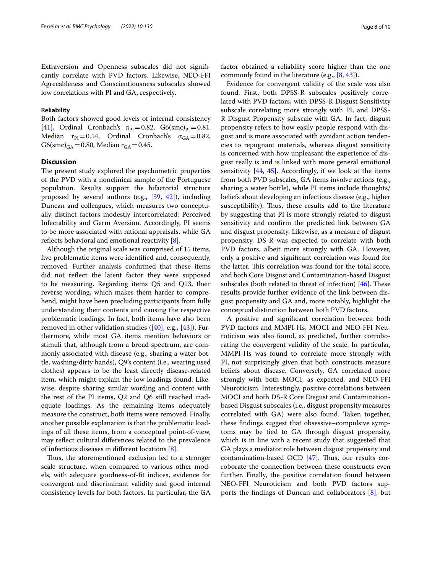Extraversion and Openness subscales did not signifcantly correlate with PVD factors. Likewise, NEO-FFI Agreeableness and Conscientiousness subscales showed low correlations with PI and GA, respectively.

# **Reliability**

Both factors showed good levels of internal consistency [[41\]](#page-9-37), Ordinal Cronbach's  $\alpha_{PI}=0.82$ , G6(smc)<sub>PI</sub>=0.81 Median  $r_{PI}=0.54$ , Ordinal Cronbach's  $\alpha_{GA}=0.82$ ,  $G6(smc)_{GA} = 0.80$ , Median  $r_{GA} = 0.45$ .

# **Discussion**

The present study explored the psychometric properties of the PVD with a nonclinical sample of the Portuguese population. Results support the bifactorial structure proposed by several authors (e.g., [[39](#page-9-34), [42](#page-9-38)]), including Duncan and colleagues, which measures two conceptually distinct factors modestly intercorrelated: Perceived Infectability and Germ Aversion. Accordingly, PI seems to be more associated with rational appraisals, while GA reflects behavioral and emotional reactivity  $[8]$  $[8]$ .

Although the original scale was comprised of 15 items, fve problematic items were identifed and, consequently, removed. Further analysis confrmed that these items did not refect the latent factor they were supposed to be measuring. Regarding items Q5 and Q13, their reverse wording, which makes them harder to comprehend, might have been precluding participants from fully understanding their contents and causing the respective problematic loadings. In fact, both items have also been removed in other validation studies  $([40], e.g., [43])$  $([40], e.g., [43])$  $([40], e.g., [43])$  $([40], e.g., [43])$  $([40], e.g., [43])$ . Furthermore, while most GA items mention behaviors or stimuli that, although from a broad spectrum, are commonly associated with disease (e.g., sharing a water bottle, washing/dirty hands), Q9's content (i.e., wearing used clothes) appears to be the least directly disease-related item, which might explain the low loadings found. Likewise, despite sharing similar wording and content with the rest of the PI items, Q2 and Q6 still reached inadequate loadings. As the remaining items adequately measure the construct, both items were removed. Finally, another possible explanation is that the problematic loadings of all these items, from a conceptual point-of-view, may reflect cultural differences related to the prevalence of infectious diseases in diferent locations [\[8\]](#page-9-5).

Thus, the aforementioned exclusion led to a stronger scale structure, when compared to various other models, with adequate goodness-of-ft indices, evidence for convergent and discriminant validity and good internal consistency levels for both factors. In particular, the GA factor obtained a reliability score higher than the one commonly found in the literature (e.g., [\[8](#page-9-5), [43\]](#page-9-39)).

Evidence for convergent validity of the scale was also found. First, both DPSS-R subscales positively correlated with PVD factors, with DPSS-R Disgust Sensitivity subscale correlating more strongly with PI, and DPSS-R Disgust Propensity subscale with GA. In fact, disgust propensity refers to how easily people respond with disgust and is more associated with avoidant action tendencies to repugnant materials, whereas disgust sensitivity is concerned with how unpleasant the experience of disgust really is and is linked with more general emotional sensitivity [[44,](#page-9-40) [45](#page-9-41)]. Accordingly, if we look at the items from both PVD subscales, GA items involve actions (e.g., sharing a water bottle), while PI items include thoughts/ beliefs about developing an infectious disease (e.g., higher susceptibility). Thus, these results add to the literature by suggesting that PI is more strongly related to disgust sensitivity and confrm the predicted link between GA and disgust propensity. Likewise, as a measure of disgust propensity, DS-R was expected to correlate with both PVD factors, albeit more strongly with GA. However, only a positive and signifcant correlation was found for the latter. This correlation was found for the total score, and both Core Disgust and Contamination-based Disgust subscales (both related to threat of infection)  $[46]$  $[46]$ . These results provide further evidence of the link between disgust propensity and GA and, more notably, highlight the conceptual distinction between both PVD factors.

A positive and signifcant correlation between both PVD factors and MMPI-Hs, MOCI and NEO-FFI Neuroticism was also found, as predicted, further corroborating the convergent validity of the scale. In particular, MMPI-Hs was found to correlate more strongly with PI, not surprisingly given that both constructs measure beliefs about disease. Conversely, GA correlated more strongly with both MOCI, as expected, and NEO-FFI Neuroticism. Interestingly, positive correlations between MOCI and both DS-R Core Disgust and Contaminationbased Disgust subscales (i.e., disgust propensity measures correlated with GA) were also found. Taken together, these fndings suggest that obsessive–compulsive symptoms may be tied to GA through disgust propensity, which is in line with a recent study that suggested that GA plays a mediator role between disgust propensity and contamination-based OCD  $[47]$  $[47]$  $[47]$ . Thus, our results corroborate the connection between these constructs even further. Finally, the positive correlation found between NEO-FFI Neuroticism and both PVD factors supports the fndings of Duncan and collaborators [[8\]](#page-9-5), but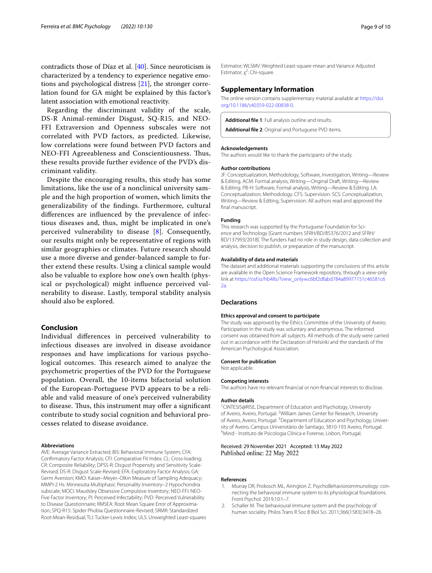contradicts those of Díaz et al. [\[40\]](#page-9-35). Since neuroticism is characterized by a tendency to experience negative emotions and psychological distress [[21\]](#page-9-17), the stronger correlation found for GA might be explained by this factor's latent association with emotional reactivity.

Regarding the discriminant validity of the scale, DS-R Animal-reminder Disgust, SQ-R15, and NEO-FFI Extraversion and Openness subscales were not correlated with PVD factors, as predicted. Likewise, low correlations were found between PVD factors and NEO-FFI Agreeableness and Conscientiousness. Thus, these results provide further evidence of the PVD's discriminant validity.

Despite the encouraging results, this study has some limitations, like the use of a nonclinical university sample and the high proportion of women, which limits the generalizability of the fndings. Furthermore, cultural diferences are infuenced by the prevalence of infectious diseases and, thus, might be implicated in one's perceived vulnerability to disease [[8\]](#page-9-5). Consequently, our results might only be representative of regions with similar geographies or climates. Future research should use a more diverse and gender-balanced sample to further extend these results. Using a clinical sample would also be valuable to explore how one's own health (physical or psychological) might infuence perceived vulnerability to disease. Lastly, temporal stability analysis should also be explored.

# **Conclusion**

Individual diferences in perceived vulnerability to infectious diseases are involved in disease avoidance responses and have implications for various psychological outcomes. This research aimed to analyze the psychometric properties of the PVD for the Portuguese population. Overall, the 10-items bifactorial solution of the European-Portuguese PVD appears to be a reliable and valid measure of one's perceived vulnerability to disease. Thus, this instrument may offer a significant contribute to study social cognition and behavioral processes related to disease avoidance.

#### **Abbreviations**

AVE: Average Variance Extracted; BIS: Behavioral Immune System; CFA: Confrmatory Factor Analysis; CFI: Comparative Fit Index; CL: Cross-loading; CR: Composite Reliability; DPSS-R: Disgust Propensity and Sensitivity Scale-Revised; DS-R: Disgust Scale-Revised; EFA: Exploratory Factor Analysis; GA: Germ Aversion; KMO: Kaiser–Meyer–Olkin Measure of Sampling Adequacy; MMPI-2 Hs: Minnesota Multiphasic Personality Inventory–2 Hypochondria subscale; MOCI: Maudsley Obsessive Compulsive Inventory; NEO-FFI: NEO-Five Factor Inventory; PI: Perceived Infectability; PVD: Perceived Vulnerability to Disease Questionnaire; RMSEA: Root Mean Square Error of Approximation; SPQ-R15: Spider Phobia Questionnaire-Revised; SRMR: Standardized Root-Mean-Residual; TLI: Tucker-Lewis Index; ULS: Unweighted Least-squares Estimator; WLSMV: Weighted Least-square-mean and Variance Adjusted Estimator;  $\chi^2$ : Chi-square.

# **Supplementary Information**

The online version contains supplementary material available at [https://doi.](https://doi.org/10.1186/s40359-022-00838-0) [org/10.1186/s40359-022-00838-0](https://doi.org/10.1186/s40359-022-00838-0).

<span id="page-8-3"></span><span id="page-8-2"></span>**Additional fle 1**: Full analysis outline and results.

**Additional fle 2**: Original and Portuguese PVD items.

# **Acknowledgements**

The authors would like to thank the participants of the study.

### **Author contributions**

JF: Conceptualization, Methodology, Software, Investigation, Writing—Review & Editing. ACM: Formal analysis, Writing—Original Draft, Writing—Review & Editing. PB-H: Software, Formal analysis, Writing—Review & Editing. LA: Conceptualization; Methodology. CFS: Supervision. SCS: Conceptualization, Writing—Review & Editing, Supervision. All authors read and approved the fnal manuscript.

# **Funding**

This research was supported by the Portuguese Foundation for Science and Technology [Grant numbers SFRH/BD/85376/2012 and SFRH/ BD/137993/2018]. The funders had no role in study design, data collection and analysis, decision to publish, or preparation of the manuscript.

#### **Availability of data and materials**

The dataset and additional materials supporting the conclusions of this article are available in the Open Science Framework repository, through a view-only link at https://osf.io/hb48s/?view\_only=[c6bf2dfabd784a89977151c46581c6](https://osf.io/hb48s/?view_only=c6bf2dfabd784a89977151c46581c62a) [2a.](https://osf.io/hb48s/?view_only=c6bf2dfabd784a89977151c46581c62a)

# **Declarations**

#### **Ethics approval and consent to participate**

The study was approved by the Ethics Committee of the University of Aveiro. Participation in the study was voluntary and anonymous. The informed consent was obtained from all subjects. All methods of the study were carried out in accordance with the Declaration of Helsinki and the standards of the American Psychological Association.

#### **Consent for publication**

Not applicable.

**Competing interests**

The authors have no relevant fnancial or non-fnancial interests to disclose.

#### **Author details**

1 CINTESIS@RISE, Department of Education and Psychology, University of Aveiro, Aveiro, Portugal. <sup>2</sup> William James Center for Research, University of Aveiro, Aveiro, Portugal. <sup>3</sup> Department of Education and Psychology, University of Aveiro, Campus Universitário de Santiago, 3810-193 Aveiro, Portugal. Mind - Instituto de Psicologia Clínica e Forense, Lisbon, Portugal.

# Received: 29 November 2021 Accepted: 13 May 2022 Published online: 22 May 2022

## **References**

- <span id="page-8-0"></span>1. Murray DR, Prokosch ML, Airington Z. PsychoBehavioroimmunology: connecting the behavioral immune system to its physiological foundations. Front Psychol. 2019;10:1–7.
- <span id="page-8-1"></span>2. Schaller M. The behavioural immune system and the psychology of human sociality. Philos Trans R Soc B Biol Sci. 2011;366(1583):3418–26.